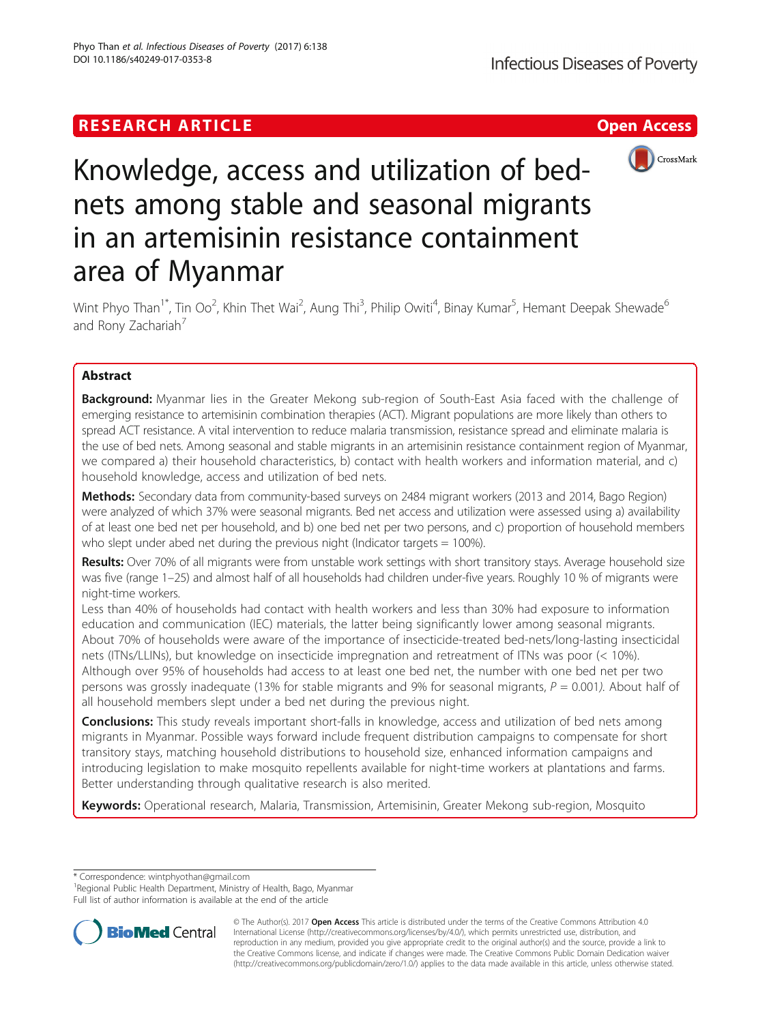## **RESEARCH ARTICLE Example 2018 12:00 Department of the CONNECTION CONNECTION CONNECTION CONNECTION**



# Knowledge, access and utilization of bednets among stable and seasonal migrants in an artemisinin resistance containment area of Myanmar

Wint Phyo Than<sup>1\*</sup>, Tin Oo<sup>2</sup>, Khin Thet Wai<sup>2</sup>, Aung Thi<sup>3</sup>, Philip Owiti<sup>4</sup>, Binay Kumar<sup>5</sup>, Hemant Deepak Shewade<sup>6</sup> and Rony Zachariah<sup>7</sup>

### Abstract

**Background:** Myanmar lies in the Greater Mekong sub-region of South-East Asia faced with the challenge of emerging resistance to artemisinin combination therapies (ACT). Migrant populations are more likely than others to spread ACT resistance. A vital intervention to reduce malaria transmission, resistance spread and eliminate malaria is the use of bed nets. Among seasonal and stable migrants in an artemisinin resistance containment region of Myanmar, we compared a) their household characteristics, b) contact with health workers and information material, and c) household knowledge, access and utilization of bed nets.

Methods: Secondary data from community-based surveys on 2484 migrant workers (2013 and 2014, Bago Region) were analyzed of which 37% were seasonal migrants. Bed net access and utilization were assessed using a) availability of at least one bed net per household, and b) one bed net per two persons, and c) proportion of household members who slept under abed net during the previous night (Indicator targets = 100%).

Results: Over 70% of all migrants were from unstable work settings with short transitory stays. Average household size was five (range 1–25) and almost half of all households had children under-five years. Roughly 10 % of migrants were night-time workers.

Less than 40% of households had contact with health workers and less than 30% had exposure to information education and communication (IEC) materials, the latter being significantly lower among seasonal migrants. About 70% of households were aware of the importance of insecticide-treated bed-nets/long-lasting insecticidal nets (ITNs/LLINs), but knowledge on insecticide impregnation and retreatment of ITNs was poor (< 10%). Although over 95% of households had access to at least one bed net, the number with one bed net per two persons was grossly inadequate (13% for stable migrants and 9% for seasonal migrants,  $P = 0.001$ ). About half of all household members slept under a bed net during the previous night.

**Conclusions:** This study reveals important short-falls in knowledge, access and utilization of bed nets among migrants in Myanmar. Possible ways forward include frequent distribution campaigns to compensate for short transitory stays, matching household distributions to household size, enhanced information campaigns and introducing legislation to make mosquito repellents available for night-time workers at plantations and farms. Better understanding through qualitative research is also merited.

Keywords: Operational research, Malaria, Transmission, Artemisinin, Greater Mekong sub-region, Mosquito

\* Correspondence: [wintphyothan@gmail.com](mailto:wintphyothan@gmail.com) <sup>1</sup>

<sup>&</sup>lt;sup>1</sup> Regional Public Health Department, Ministry of Health, Bago, Myanmar Full list of author information is available at the end of the article



© The Author(s). 2017 **Open Access** This article is distributed under the terms of the Creative Commons Attribution 4.0 International License [\(http://creativecommons.org/licenses/by/4.0/](http://creativecommons.org/licenses/by/4.0/)), which permits unrestricted use, distribution, and reproduction in any medium, provided you give appropriate credit to the original author(s) and the source, provide a link to the Creative Commons license, and indicate if changes were made. The Creative Commons Public Domain Dedication waiver [\(http://creativecommons.org/publicdomain/zero/1.0/](http://creativecommons.org/publicdomain/zero/1.0/)) applies to the data made available in this article, unless otherwise stated.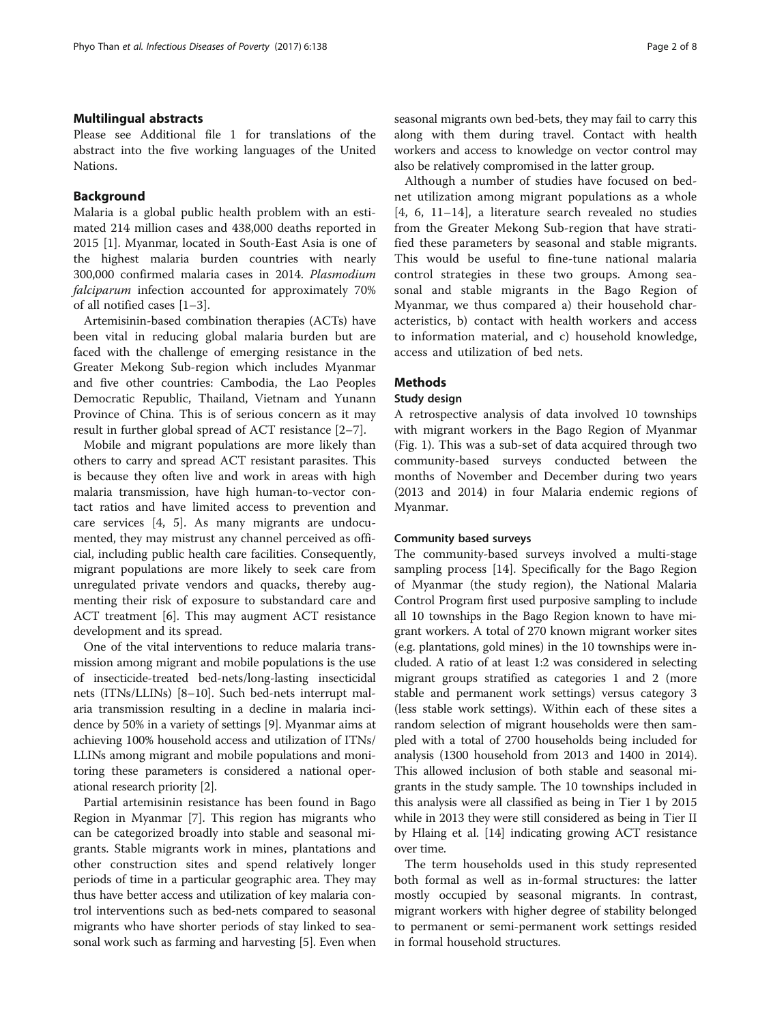#### Multilingual abstracts

Please see Additional file [1](#page-6-0) for translations of the abstract into the five working languages of the United Nations.

#### Background

Malaria is a global public health problem with an estimated 214 million cases and 438,000 deaths reported in 2015 [[1\]](#page-7-0). Myanmar, located in South-East Asia is one of the highest malaria burden countries with nearly 300,000 confirmed malaria cases in 2014. Plasmodium falciparum infection accounted for approximately 70% of all notified cases [\[1](#page-7-0)–[3](#page-7-0)].

Artemisinin-based combination therapies (ACTs) have been vital in reducing global malaria burden but are faced with the challenge of emerging resistance in the Greater Mekong Sub-region which includes Myanmar and five other countries: Cambodia, the Lao Peoples Democratic Republic, Thailand, Vietnam and Yunann Province of China. This is of serious concern as it may result in further global spread of ACT resistance [\[2](#page-7-0)–[7\]](#page-7-0).

Mobile and migrant populations are more likely than others to carry and spread ACT resistant parasites. This is because they often live and work in areas with high malaria transmission, have high human-to-vector contact ratios and have limited access to prevention and care services [[4, 5\]](#page-7-0). As many migrants are undocumented, they may mistrust any channel perceived as official, including public health care facilities. Consequently, migrant populations are more likely to seek care from unregulated private vendors and quacks, thereby augmenting their risk of exposure to substandard care and ACT treatment [\[6](#page-7-0)]. This may augment ACT resistance development and its spread.

One of the vital interventions to reduce malaria transmission among migrant and mobile populations is the use of insecticide-treated bed-nets/long-lasting insecticidal nets (ITNs/LLINs) [\[8](#page-7-0)–[10](#page-7-0)]. Such bed-nets interrupt malaria transmission resulting in a decline in malaria incidence by 50% in a variety of settings [\[9](#page-7-0)]. Myanmar aims at achieving 100% household access and utilization of ITNs/ LLINs among migrant and mobile populations and monitoring these parameters is considered a national operational research priority [[2](#page-7-0)].

Partial artemisinin resistance has been found in Bago Region in Myanmar [\[7](#page-7-0)]. This region has migrants who can be categorized broadly into stable and seasonal migrants. Stable migrants work in mines, plantations and other construction sites and spend relatively longer periods of time in a particular geographic area. They may thus have better access and utilization of key malaria control interventions such as bed-nets compared to seasonal migrants who have shorter periods of stay linked to seasonal work such as farming and harvesting [\[5\]](#page-7-0). Even when seasonal migrants own bed-bets, they may fail to carry this along with them during travel. Contact with health workers and access to knowledge on vector control may also be relatively compromised in the latter group.

Although a number of studies have focused on bednet utilization among migrant populations as a whole [[4](#page-7-0), [6](#page-7-0), [11](#page-7-0)–[14\]](#page-7-0), a literature search revealed no studies from the Greater Mekong Sub-region that have stratified these parameters by seasonal and stable migrants. This would be useful to fine-tune national malaria control strategies in these two groups. Among seasonal and stable migrants in the Bago Region of Myanmar, we thus compared a) their household characteristics, b) contact with health workers and access to information material, and c) household knowledge, access and utilization of bed nets.

#### **Methods**

#### Study design

A retrospective analysis of data involved 10 townships with migrant workers in the Bago Region of Myanmar (Fig. [1](#page-2-0)). This was a sub-set of data acquired through two community-based surveys conducted between the months of November and December during two years (2013 and 2014) in four Malaria endemic regions of Myanmar.

#### Community based surveys

The community-based surveys involved a multi-stage sampling process [[14\]](#page-7-0). Specifically for the Bago Region of Myanmar (the study region), the National Malaria Control Program first used purposive sampling to include all 10 townships in the Bago Region known to have migrant workers. A total of 270 known migrant worker sites (e.g. plantations, gold mines) in the 10 townships were included. A ratio of at least 1:2 was considered in selecting migrant groups stratified as categories 1 and 2 (more stable and permanent work settings) versus category 3 (less stable work settings). Within each of these sites a random selection of migrant households were then sampled with a total of 2700 households being included for analysis (1300 household from 2013 and 1400 in 2014). This allowed inclusion of both stable and seasonal migrants in the study sample. The 10 townships included in this analysis were all classified as being in Tier 1 by 2015 while in 2013 they were still considered as being in Tier II by Hlaing et al. [\[14](#page-7-0)] indicating growing ACT resistance over time.

The term households used in this study represented both formal as well as in-formal structures: the latter mostly occupied by seasonal migrants. In contrast, migrant workers with higher degree of stability belonged to permanent or semi-permanent work settings resided in formal household structures.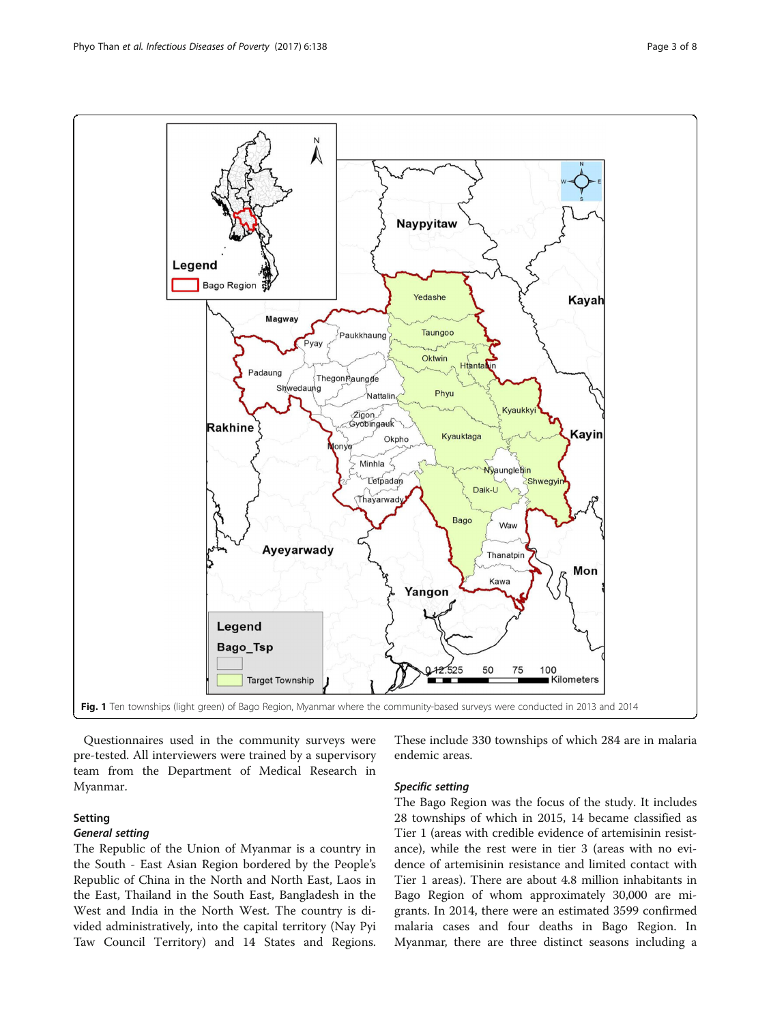<span id="page-2-0"></span>

Questionnaires used in the community surveys were pre-tested. All interviewers were trained by a supervisory team from the Department of Medical Research in Myanmar.

### Setting

The Republic of the Union of Myanmar is a country in the South - East Asian Region bordered by the People's Republic of China in the North and North East, Laos in the East, Thailand in the South East, Bangladesh in the West and India in the North West. The country is divided administratively, into the capital territory (Nay Pyi Taw Council Territory) and 14 States and Regions. These include 330 townships of which 284 are in malaria endemic areas.

The Bago Region was the focus of the study. It includes 28 townships of which in 2015, 14 became classified as Tier 1 (areas with credible evidence of artemisinin resistance), while the rest were in tier 3 (areas with no evidence of artemisinin resistance and limited contact with Tier 1 areas). There are about 4.8 million inhabitants in Bago Region of whom approximately 30,000 are migrants. In 2014, there were an estimated 3599 confirmed malaria cases and four deaths in Bago Region. In Myanmar, there are three distinct seasons including a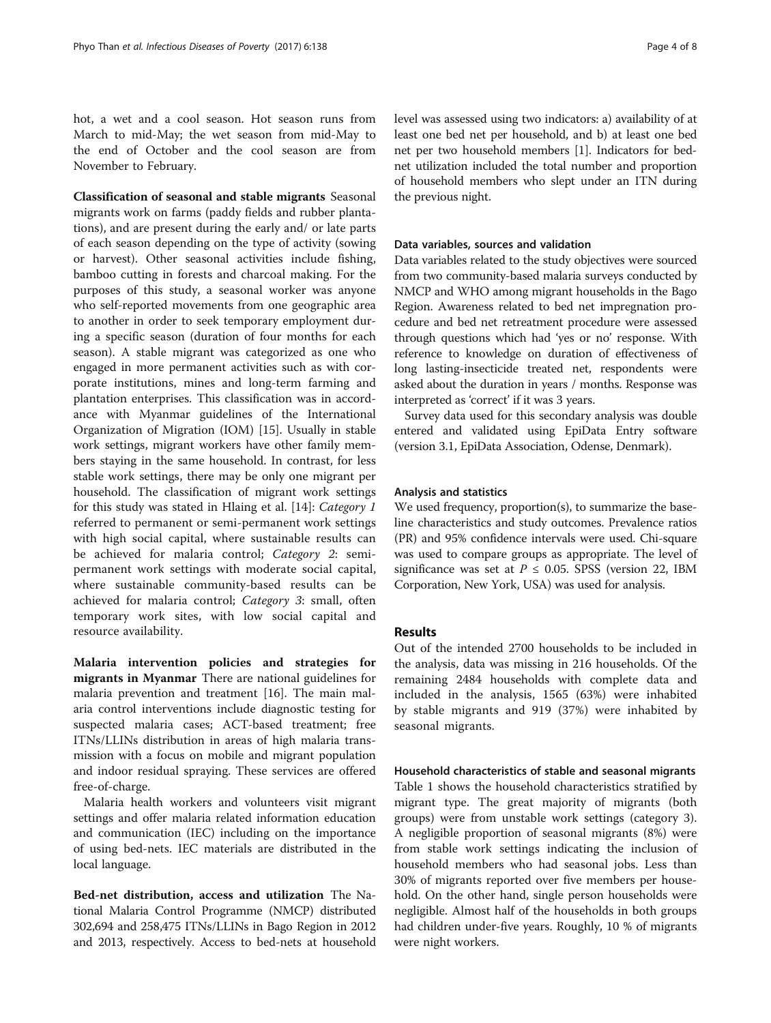hot, a wet and a cool season. Hot season runs from March to mid-May; the wet season from mid-May to the end of October and the cool season are from November to February.

Classification of seasonal and stable migrants Seasonal migrants work on farms (paddy fields and rubber plantations), and are present during the early and/ or late parts of each season depending on the type of activity (sowing or harvest). Other seasonal activities include fishing, bamboo cutting in forests and charcoal making. For the purposes of this study, a seasonal worker was anyone who self-reported movements from one geographic area to another in order to seek temporary employment during a specific season (duration of four months for each season). A stable migrant was categorized as one who engaged in more permanent activities such as with corporate institutions, mines and long-term farming and plantation enterprises. This classification was in accordance with Myanmar guidelines of the International Organization of Migration (IOM) [[15\]](#page-7-0). Usually in stable work settings, migrant workers have other family members staying in the same household. In contrast, for less stable work settings, there may be only one migrant per household. The classification of migrant work settings for this study was stated in Hlaing et al. [\[14\]](#page-7-0): Category 1 referred to permanent or semi-permanent work settings with high social capital, where sustainable results can be achieved for malaria control; Category 2: semipermanent work settings with moderate social capital, where sustainable community-based results can be achieved for malaria control; Category 3: small, often temporary work sites, with low social capital and resource availability.

Malaria intervention policies and strategies for migrants in Myanmar There are national guidelines for malaria prevention and treatment [[16\]](#page-7-0). The main malaria control interventions include diagnostic testing for suspected malaria cases; ACT-based treatment; free ITNs/LLINs distribution in areas of high malaria transmission with a focus on mobile and migrant population and indoor residual spraying. These services are offered free-of-charge.

Malaria health workers and volunteers visit migrant settings and offer malaria related information education and communication (IEC) including on the importance of using bed-nets. IEC materials are distributed in the local language.

Bed-net distribution, access and utilization The National Malaria Control Programme (NMCP) distributed 302,694 and 258,475 ITNs/LLINs in Bago Region in 2012 and 2013, respectively. Access to bed-nets at household level was assessed using two indicators: a) availability of at least one bed net per household, and b) at least one bed net per two household members [\[1\]](#page-7-0). Indicators for bednet utilization included the total number and proportion of household members who slept under an ITN during the previous night.

#### Data variables, sources and validation

Data variables related to the study objectives were sourced from two community-based malaria surveys conducted by NMCP and WHO among migrant households in the Bago Region. Awareness related to bed net impregnation procedure and bed net retreatment procedure were assessed through questions which had 'yes or no' response. With reference to knowledge on duration of effectiveness of long lasting-insecticide treated net, respondents were asked about the duration in years / months. Response was interpreted as 'correct' if it was 3 years.

Survey data used for this secondary analysis was double entered and validated using EpiData Entry software (version 3.1, EpiData Association, Odense, Denmark).

#### Analysis and statistics

We used frequency, proportion(s), to summarize the baseline characteristics and study outcomes. Prevalence ratios (PR) and 95% confidence intervals were used. Chi-square was used to compare groups as appropriate. The level of significance was set at  $P \le 0.05$ . SPSS (version 22, IBM Corporation, New York, USA) was used for analysis.

#### Results

Out of the intended 2700 households to be included in the analysis, data was missing in 216 households. Of the remaining 2484 households with complete data and included in the analysis, 1565 (63%) were inhabited by stable migrants and 919 (37%) were inhabited by seasonal migrants.

Household characteristics of stable and seasonal migrants Table [1](#page-4-0) shows the household characteristics stratified by migrant type. The great majority of migrants (both groups) were from unstable work settings (category 3). A negligible proportion of seasonal migrants (8%) were from stable work settings indicating the inclusion of household members who had seasonal jobs. Less than 30% of migrants reported over five members per household. On the other hand, single person households were negligible. Almost half of the households in both groups had children under-five years. Roughly, 10 % of migrants were night workers.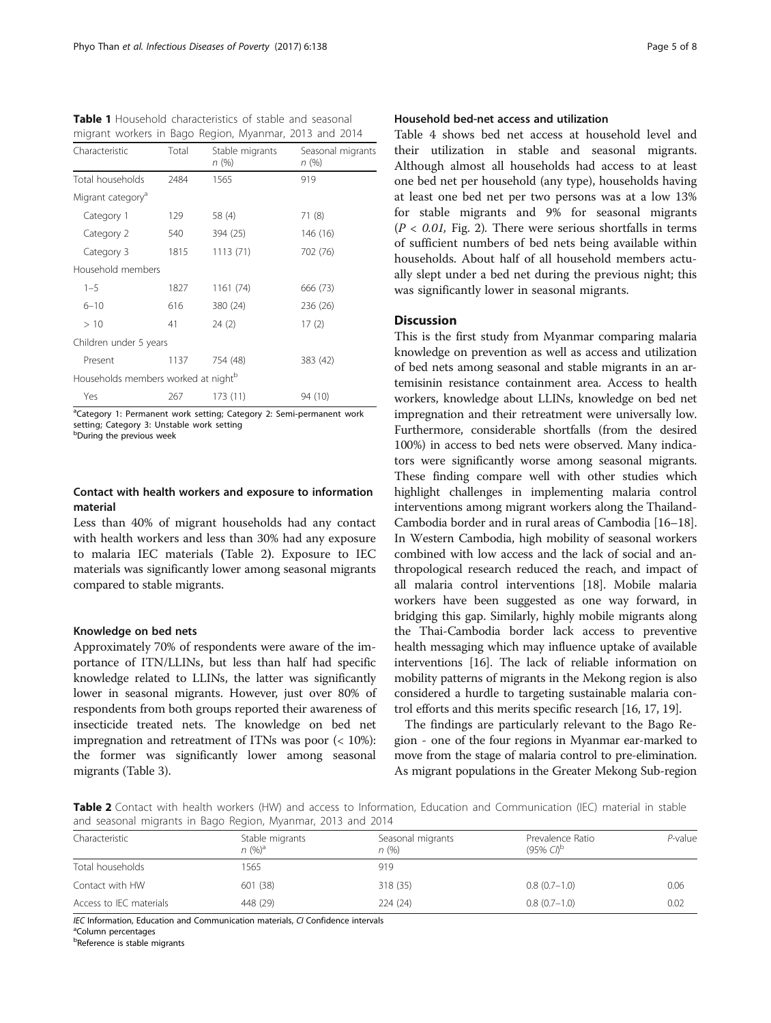<span id="page-4-0"></span>Table 1 Household characteristics of stable and seasonal

| migrant workers in Bago Region, Myanmar, 2013 and 2014 |       |                          |                            |
|--------------------------------------------------------|-------|--------------------------|----------------------------|
| Characteristic                                         | Total | Stable migrants<br>n (%) | Seasonal migrants<br>n (%) |
| Total households                                       | 2484  | 1565                     | 919                        |
| Migrant category <sup>a</sup>                          |       |                          |                            |
| Category 1                                             | 129   | 58 (4)                   | 71 (8)                     |
| Category 2                                             | 540   | 394 (25)                 | 146 (16)                   |
| Category 3                                             | 1815  | 1113(71)                 | 702 (76)                   |
| Household members                                      |       |                          |                            |
| $1 - 5$                                                | 1827  | 1161 (74)                | 666 (73)                   |
| $6 - 10$                                               | 616   | 380 (24)                 | 236 (26)                   |
| >10                                                    | 41    | 24(2)                    | 17(2)                      |
| Children under 5 years                                 |       |                          |                            |
| Present                                                | 1137  | 754 (48)                 | 383 (42)                   |
| Households members worked at night <sup>b</sup>        |       |                          |                            |
| Yes                                                    | 267   | 173 (11)                 | 94 (10)                    |

<sup>a</sup>Category 1: Permanent work setting; Category 2: Semi-permanent work setting; Category 3: Unstable work setting

b During the previous week

#### Contact with health workers and exposure to information material

Less than 40% of migrant households had any contact with health workers and less than 30% had any exposure to malaria IEC materials (Table 2). Exposure to IEC materials was significantly lower among seasonal migrants compared to stable migrants.

#### Knowledge on bed nets

Approximately 70% of respondents were aware of the importance of ITN/LLINs, but less than half had specific knowledge related to LLINs, the latter was significantly lower in seasonal migrants. However, just over 80% of respondents from both groups reported their awareness of insecticide treated nets. The knowledge on bed net impregnation and retreatment of ITNs was poor  $\left( < 10\% \right)$ : the former was significantly lower among seasonal migrants (Table [3\)](#page-5-0).

#### Household bed-net access and utilization

Table [4](#page-5-0) shows bed net access at household level and their utilization in stable and seasonal migrants. Although almost all households had access to at least one bed net per household (any type), households having at least one bed net per two persons was at a low 13% for stable migrants and 9% for seasonal migrants  $(P < 0.01$ , Fig. [2\)](#page-6-0). There were serious shortfalls in terms of sufficient numbers of bed nets being available within households. About half of all household members actually slept under a bed net during the previous night; this was significantly lower in seasonal migrants.

#### **Discussion**

This is the first study from Myanmar comparing malaria knowledge on prevention as well as access and utilization of bed nets among seasonal and stable migrants in an artemisinin resistance containment area. Access to health workers, knowledge about LLINs, knowledge on bed net impregnation and their retreatment were universally low. Furthermore, considerable shortfalls (from the desired 100%) in access to bed nets were observed. Many indicators were significantly worse among seasonal migrants. These finding compare well with other studies which highlight challenges in implementing malaria control interventions among migrant workers along the Thailand-Cambodia border and in rural areas of Cambodia [\[16](#page-7-0)–[18](#page-7-0)]. In Western Cambodia, high mobility of seasonal workers combined with low access and the lack of social and anthropological research reduced the reach, and impact of all malaria control interventions [\[18\]](#page-7-0). Mobile malaria workers have been suggested as one way forward, in bridging this gap. Similarly, highly mobile migrants along the Thai-Cambodia border lack access to preventive health messaging which may influence uptake of available interventions [[16](#page-7-0)]. The lack of reliable information on mobility patterns of migrants in the Mekong region is also considered a hurdle to targeting sustainable malaria control efforts and this merits specific research [\[16, 17](#page-7-0), [19\]](#page-7-0).

The findings are particularly relevant to the Bago Region - one of the four regions in Myanmar ear-marked to move from the stage of malaria control to pre-elimination. As migrant populations in the Greater Mekong Sub-region

Table 2 Contact with health workers (HW) and access to Information, Education and Communication (IEC) material in stable and seasonal migrants in Bago Region, Myanmar, 2013 and 2014

| Characteristic          | Stable migrants<br>$n (%)^a$ | Seasonal migrants<br>n (%) | Prevalence Ratio<br>$(95\% \text{ C}^{\text{b}})$ | $P$ -value |
|-------------------------|------------------------------|----------------------------|---------------------------------------------------|------------|
| Total households        | 565                          | 919                        |                                                   |            |
| Contact with HW         | 601 (38)                     | 318 (35)                   | $0.8(0.7-1.0)$                                    | 0.06       |
| Access to IEC materials | 448 (29)                     | 224 (24)                   | $0.8(0.7-1.0)$                                    | 0.02       |

IEC Information, Education and Communication materials, CI Confidence intervals

<sup>a</sup>Column percentages

**b**Reference is stable migrants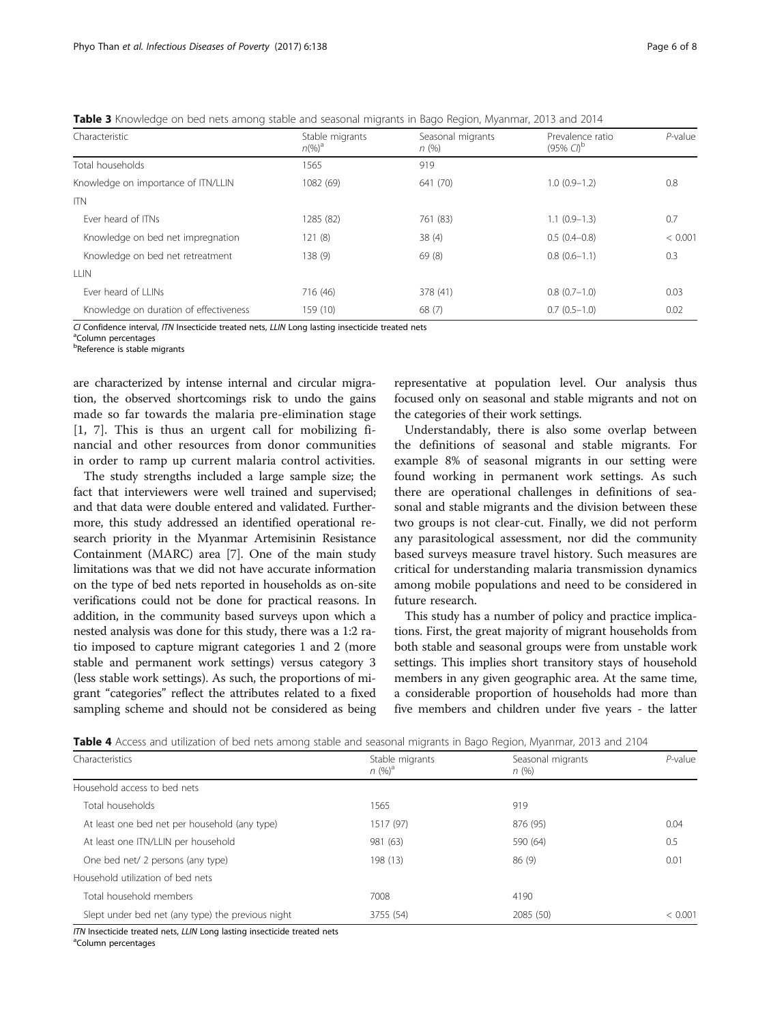<span id="page-5-0"></span>Table 3 Knowledge on bed nets among stable and seasonal migrants in Bago Region, Myanmar, 2013 and 2014

| Characteristic                         | Stable migrants<br>$n\left(\%\right)^{a}$ | Seasonal migrants<br>n(%) | Prevalence ratio<br>$(95\% \text{ C}^{\text{D}})$ | $P$ -value |
|----------------------------------------|-------------------------------------------|---------------------------|---------------------------------------------------|------------|
| Total households                       | 1565                                      | 919                       |                                                   |            |
| Knowledge on importance of ITN/LLIN    | 1082 (69)                                 | 641 (70)                  | $1.0(0.9-1.2)$                                    | 0.8        |
| <b>ITN</b>                             |                                           |                           |                                                   |            |
| Ever heard of ITNs                     | 1285 (82)                                 | 761 (83)                  | $1.1(0.9-1.3)$                                    | 0.7        |
| Knowledge on bed net impregnation      | 121(8)                                    | 38(4)                     | $0.5(0.4-0.8)$                                    | < 0.001    |
| Knowledge on bed net retreatment       | 138(9)                                    | 69 (8)                    | $0.8(0.6-1.1)$                                    | 0.3        |
| LLIN                                   |                                           |                           |                                                   |            |
| Ever heard of LLINs                    | 716 (46)                                  | 378 (41)                  | $0.8(0.7-1.0)$                                    | 0.03       |
| Knowledge on duration of effectiveness | 159 (10)                                  | 68(7)                     | $0.7(0.5-1.0)$                                    | 0.02       |

CI Confidence interval, ITN Insecticide treated nets, LLIN Long lasting insecticide treated nets

<sup>a</sup>Column percentages

**b**Reference is stable migrants

are characterized by intense internal and circular migration, the observed shortcomings risk to undo the gains made so far towards the malaria pre-elimination stage [[1, 7](#page-7-0)]. This is thus an urgent call for mobilizing financial and other resources from donor communities in order to ramp up current malaria control activities.

The study strengths included a large sample size; the fact that interviewers were well trained and supervised; and that data were double entered and validated. Furthermore, this study addressed an identified operational research priority in the Myanmar Artemisinin Resistance Containment (MARC) area [\[7\]](#page-7-0). One of the main study limitations was that we did not have accurate information on the type of bed nets reported in households as on-site verifications could not be done for practical reasons. In addition, in the community based surveys upon which a nested analysis was done for this study, there was a 1:2 ratio imposed to capture migrant categories 1 and 2 (more stable and permanent work settings) versus category 3 (less stable work settings). As such, the proportions of migrant "categories" reflect the attributes related to a fixed sampling scheme and should not be considered as being representative at population level. Our analysis thus focused only on seasonal and stable migrants and not on the categories of their work settings.

Understandably, there is also some overlap between the definitions of seasonal and stable migrants. For example 8% of seasonal migrants in our setting were found working in permanent work settings. As such there are operational challenges in definitions of seasonal and stable migrants and the division between these two groups is not clear-cut. Finally, we did not perform any parasitological assessment, nor did the community based surveys measure travel history. Such measures are critical for understanding malaria transmission dynamics among mobile populations and need to be considered in future research.

This study has a number of policy and practice implications. First, the great majority of migrant households from both stable and seasonal groups were from unstable work settings. This implies short transitory stays of household members in any given geographic area. At the same time, a considerable proportion of households had more than five members and children under five years - the latter

| Table 4 Access and utilization of bed nets among stable and seasonal migrants in Bago Region, Myanmar, 2013 and 2104 |  |
|----------------------------------------------------------------------------------------------------------------------|--|
|----------------------------------------------------------------------------------------------------------------------|--|

| Characteristics                                   | Stable migrants | Seasonal migrants | $P$ -value |
|---------------------------------------------------|-----------------|-------------------|------------|
|                                                   | $n (%)^a$       | n(%)              |            |
| Household access to bed nets                      |                 |                   |            |
| Total households                                  | 1565            | 919               |            |
| At least one bed net per household (any type)     | 1517 (97)       | 876 (95)          | 0.04       |
| At least one ITN/LLIN per household               | 981 (63)        | 590 (64)          | 0.5        |
| One bed net/ 2 persons (any type)                 | 198 (13)        | 86 (9)            | 0.01       |
| Household utilization of bed nets                 |                 |                   |            |
| Total household members                           | 7008            | 4190              |            |
| Slept under bed net (any type) the previous night | 3755 (54)       | 2085 (50)         | < 0.001    |

ITN Insecticide treated nets, LLIN Long lasting insecticide treated nets

<sup>a</sup>Column percentages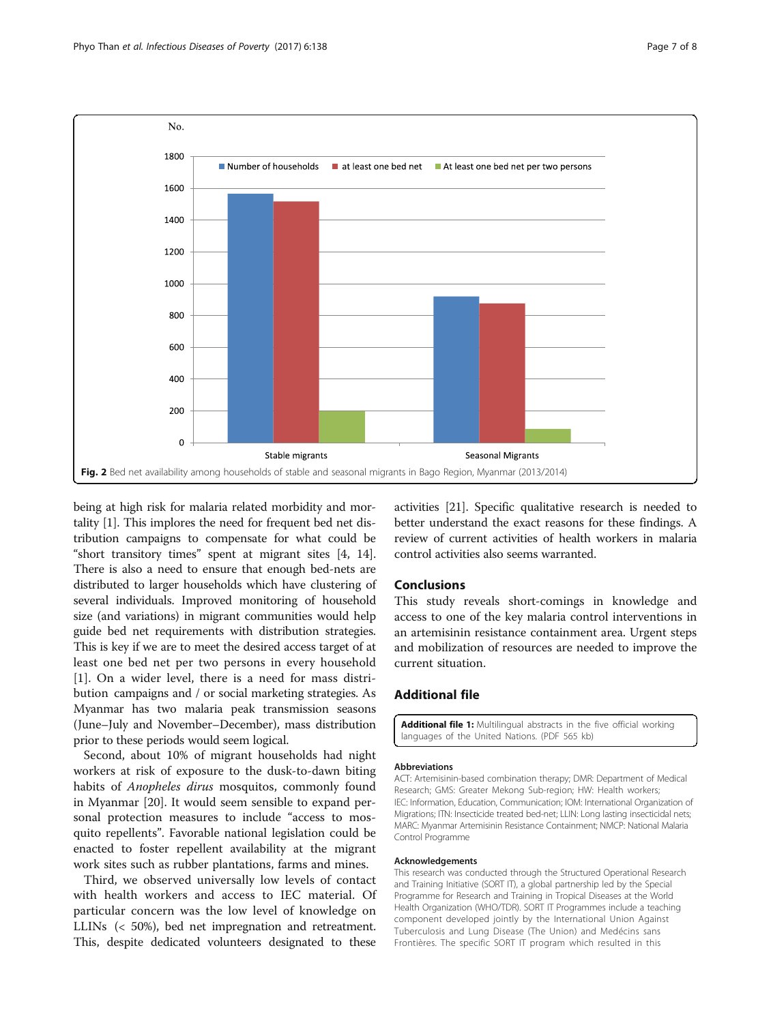<span id="page-6-0"></span>

being at high risk for malaria related morbidity and mortality [\[1](#page-7-0)]. This implores the need for frequent bed net distribution campaigns to compensate for what could be "short transitory times" spent at migrant sites [\[4](#page-7-0), [14](#page-7-0)]. There is also a need to ensure that enough bed-nets are distributed to larger households which have clustering of several individuals. Improved monitoring of household size (and variations) in migrant communities would help guide bed net requirements with distribution strategies. This is key if we are to meet the desired access target of at least one bed net per two persons in every household [[1\]](#page-7-0). On a wider level, there is a need for mass distribution campaigns and / or social marketing strategies. As Myanmar has two malaria peak transmission seasons (June–July and November–December), mass distribution prior to these periods would seem logical.

Second, about 10% of migrant households had night workers at risk of exposure to the dusk-to-dawn biting habits of Anopheles dirus mosquitos, commonly found in Myanmar [[20\]](#page-7-0). It would seem sensible to expand personal protection measures to include "access to mosquito repellents". Favorable national legislation could be enacted to foster repellent availability at the migrant work sites such as rubber plantations, farms and mines.

Third, we observed universally low levels of contact with health workers and access to IEC material. Of particular concern was the low level of knowledge on LLINs (< 50%), bed net impregnation and retreatment. This, despite dedicated volunteers designated to these

activities [\[21\]](#page-7-0). Specific qualitative research is needed to better understand the exact reasons for these findings. A review of current activities of health workers in malaria control activities also seems warranted.

#### Conclusions

This study reveals short-comings in knowledge and access to one of the key malaria control interventions in an artemisinin resistance containment area. Urgent steps and mobilization of resources are needed to improve the current situation.

#### Additional file

[Additional file 1:](dx.doi.org/10.1186/s40249-017-0353-8) Multilingual abstracts in the five official working languages of the United Nations. (PDF 565 kb)

#### Abbreviations

ACT: Artemisinin-based combination therapy; DMR: Department of Medical Research; GMS: Greater Mekong Sub-region; HW: Health workers; IEC: Information, Education, Communication; IOM: International Organization of Migrations; ITN: Insecticide treated bed-net; LLIN: Long lasting insecticidal nets; MARC: Myanmar Artemisinin Resistance Containment; NMCP: National Malaria Control Programme

#### Acknowledgements

This research was conducted through the Structured Operational Research and Training Initiative (SORT IT), a global partnership led by the Special Programme for Research and Training in Tropical Diseases at the World Health Organization (WHO/TDR). SORT IT Programmes include a teaching component developed jointly by the International Union Against Tuberculosis and Lung Disease (The Union) and Medécins sans Frontières. The specific SORT IT program which resulted in this